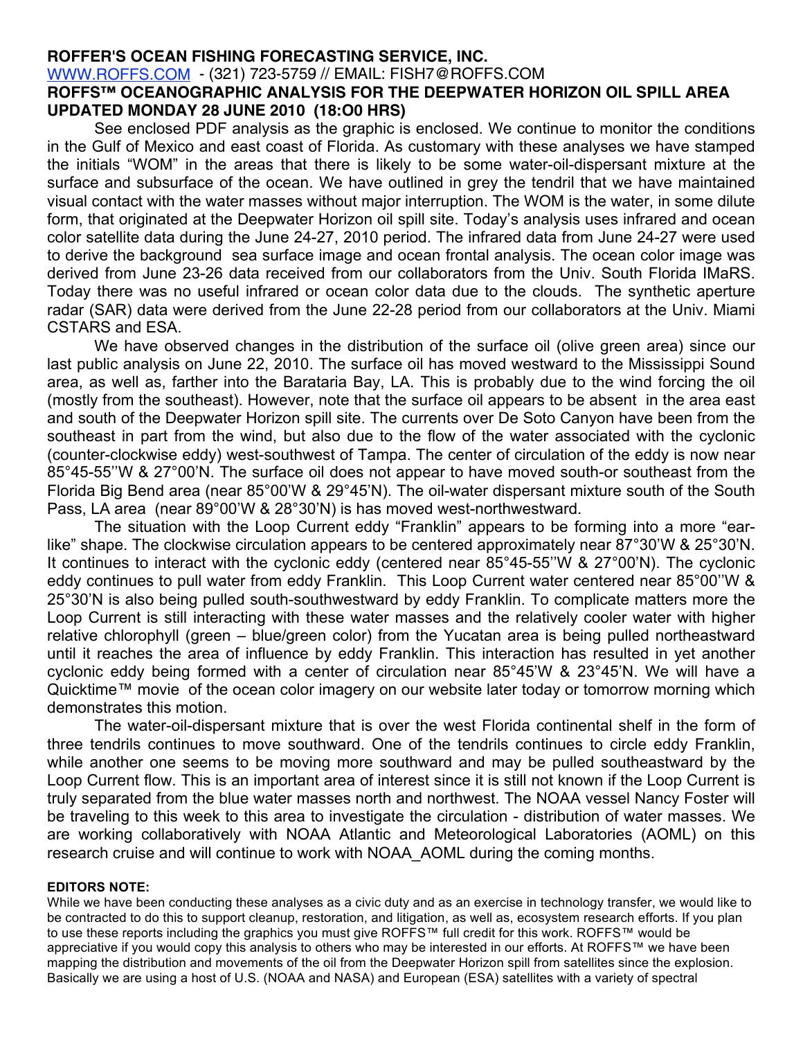## **ROFFER'S OCEAN FISHING FORECASTING SERVICE, INC.** WWW.ROFFS.COM - (321) 723-5759 // EMAIL: FISH7@ROFFS.COM

## **ROFFS™ OCEANOGRAPHIC ANALYSIS FOR THE DEEPWATER HORIZON OIL SPILL AREA UPDATED MONDAY 28 JUNE 2010 (18:O0 HRS)**

See enclosed PDF analysis as the graphic is enclosed. We continue to monitor the conditions in the Gulf of Mexico and east coast of Florida. As customary with these analyses we have stamped the initials "WOM" in the areas that there is likely to be some water-oil-dispersant mixture at the surface and subsurface of the ocean. We have outlined in grey the tendril that we have maintained visual contact with the water masses without major interruption. The WOM is the water, in some dilute form, that originated at the Deepwater Horizon oil spill site. Today's analysis uses infrared and ocean color satellite data during the June 24-27, 2010 period. The infrared data from June 24-27 were used to derive the background sea surface image and ocean frontal analysis. The ocean color image was derived from June 23-26 data received from our collaborators from the Univ. South Florida IMaRS. Today there was no useful infrared or ocean color data due to the clouds. The synthetic aperture radar (SAR) data were derived from the June 22-28 period from our collaborators at the Univ. Miami CSTARS and ESA.

We have observed changes in the distribution of the surface oil (olive green area) since our last public analysis on June 22, 2010. The surface oil has moved westward to the Mississippi Sound area, as well as, farther into the Barataria Bay, LA. This is probably due to the wind forcing the oil (mostly from the southeast). However, note that the surface oil appears to be absent in the area east and south of the Deepwater Horizon spill site. The currents over De Soto Canyon have been from the southeast in part from the wind, but also due to the flow of the water associated with the cyclonic (counter-clockwise eddy) west-southwest of Tampa. The center of circulation of the eddy is now near 85°45-55''W & 27°00'N. The surface oil does not appear to have moved south-or southeast from the Florida Big Bend area (near 85°00'W & 29°45'N). The oil-water dispersant mixture south of the South Pass, LA area (near 89°00'W & 28°30'N) is has moved west-northwestward.

The situation with the Loop Current eddy "Franklin" appears to be forming into a more "earlike" shape. The clockwise circulation appears to be centered approximately near 87°30'W & 25°30'N. It continues to interact with the cyclonic eddy (centered near 85°45-55''W & 27°00'N). The cyclonic eddy continues to pull water from eddy Franklin. This Loop Current water centered near 85°00''W & 25°30'N is also being pulled south-southwestward by eddy Franklin. To complicate matters more the Loop Current is still interacting with these water masses and the relatively cooler water with higher relative chlorophyll (green – blue/green color) from the Yucatan area is being pulled northeastward until it reaches the area of influence by eddy Franklin. This interaction has resulted in yet another cyclonic eddy being formed with a center of circulation near 85°45'W & 23°45'N. We will have a Quicktime™ movie of the ocean color imagery on our website later today or tomorrow morning which demonstrates this motion.

The water-oil-dispersant mixture that is over the west Florida continental shelf in the form of three tendrils continues to move southward. One of the tendrils continues to circle eddy Franklin, while another one seems to be moving more southward and may be pulled southeastward by the Loop Current flow. This is an important area of interest since it is still not known if the Loop Current is truly separated from the blue water masses north and northwest. The NOAA vessel Nancy Foster will be traveling to this week to this area to investigate the circulation - distribution of water masses. We are working collaboratively with NOAA Atlantic and Meteorological Laboratories (AOML) on this research cruise and will continue to work with NOAA\_AOML during the coming months.

## **EDITORS NOTE:**

While we have been conducting these analyses as a civic duty and as an exercise in technology transfer, we would like to be contracted to do this to support cleanup, restoration, and litigation, as well as, ecosystem research efforts. If you plan to use these reports including the graphics you must give ROFFS™ full credit for this work. ROFFS™ would be appreciative if you would copy this analysis to others who may be interested in our efforts. At ROFFS™ we have been mapping the distribution and movements of the oil from the Deepwater Horizon spill from satellites since the explosion. Basically we are using a host of U.S. (NOAA and NASA) and European (ESA) satellites with a variety of spectral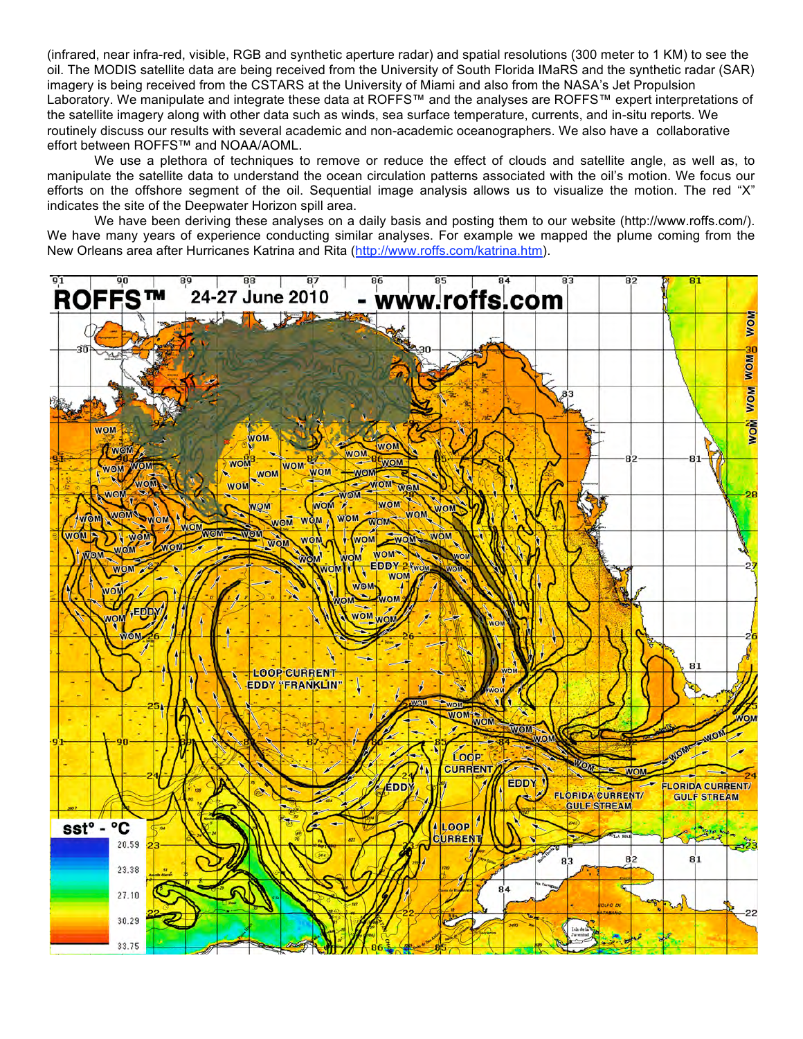(infrared, near infra-red, visible, RGB and synthetic aperture radar) and spatial resolutions (300 meter to 1 KM) to see the oil. The MODIS satellite data are being received from the University of South Florida IMaRS and the synthetic radar (SAR) imagery is being received from the CSTARS at the University of Miami and also from the NASA's Jet Propulsion Laboratory. We manipulate and integrate these data at ROFFS™ and the analyses are ROFFS™ expert interpretations of the satellite imagery along with other data such as winds, sea surface temperature, currents, and in-situ reports. We routinely discuss our results with several academic and non-academic oceanographers. We also have a collaborative effort between ROFFS™ and NOAA/AOML.

We use a plethora of techniques to remove or reduce the effect of clouds and satellite angle, as well as, to manipulate the satellite data to understand the ocean circulation patterns associated with the oil's motion. We focus our efforts on the offshore segment of the oil. Sequential image analysis allows us to visualize the motion. The red "X" indicates the site of the Deepwater Horizon spill area.

We have been deriving these analyses on a daily basis and posting them to our website (http://www.roffs.com/). We have many years of experience conducting similar analyses. For example we mapped the plume coming from the New Orleans area after Hurricanes Katrina and Rita (http://www.roffs.com/katrina.htm).